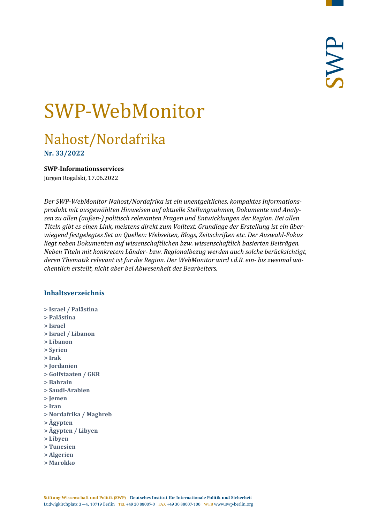# SWP-WebMonitor

# Nahost/Nordafrika

**Nr. 33/2022**

<span id="page-0-0"></span>**SWP-Informationsservices**

Jürgen Rogalski, 17.06.2022

*Der SWP-WebMonitor Nahost/Nordafrika ist ein unentgeltliches, kompaktes Informationsprodukt mit ausgewählten Hinweisen auf aktuelle Stellungnahmen, Dokumente und Analysen zu allen (außen-) politisch relevanten Fragen und Entwicklungen der Region. Bei allen Titeln gibt es einen Link, meistens direkt zum Volltext. Grundlage der Erstellung ist ein überwiegend festgelegtes Set an Quellen: Webseiten, Blogs, Zeitschriften etc. Der Auswahl-Fokus liegt neben Dokumenten auf wissenschaftlichen bzw. wissenschaftlich basierten Beiträgen. Neben Titeln mit konkretem Länder- bzw. Regionalbezug werden auch solche berücksichtigt, deren Thematik relevant ist für die Region. Der WebMonitor wird i.d.R. ein- bis zweimal wöchentlich erstellt, nicht aber bei Abwesenheit des Bearbeiters.*

#### **Inhaltsverzeichnis**

- **[> Israel / Palästina](#page-1-0)**
- **[> Palästina](#page-2-0)**
- **[> Israel](#page-3-0)**
- **[> Israel / Libanon](#page-4-0)**
- **[> Libanon](#page-5-0)**
- **[> Syrien](#page-6-0)**
- **[> Irak](#page-7-0)**
- **[> Jordanien](#page-8-0)**
- **[> Golfstaaten / GKR](#page-8-1)**
- **[> Bahrain](#page-8-2)**
- **[> Saudi-Arabien](#page-9-0)**
- **[> Jemen](#page-10-0)**
- **[> Iran](#page-11-0)**
- **[> Nordafrika / Maghreb](#page-12-0)**
- **[> Ägypten](#page-12-1)**
- **[> Ägypten / Libyen](#page-14-0)**
- **[> Libyen](#page-14-1)**
- **[> Tunesien](#page-14-2)**
- **[> Algerien](#page-15-0)**
- **[> Marokko](#page-16-0)**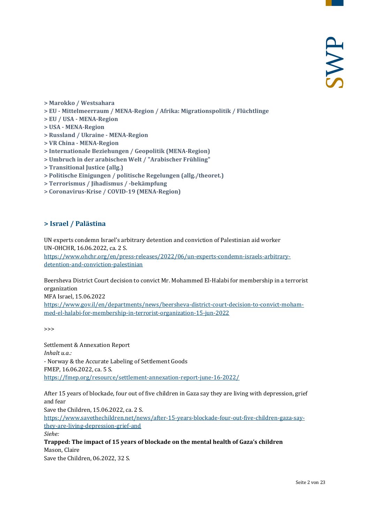- **[> Marokko / Westsahara](#page-16-1)**
- **> EU - [Mittelmeerraum / MENA-Region / Afrika: Migrationspolitik / Flüchtlinge](#page-17-0)**
- **> EU / USA - [MENA-Region](#page-18-0)**
- **> USA - [MENA-Region](#page-18-1)**
- **[> Russland / Ukraine -](#page-18-2) MENA-Region**
- **> VR China - [MENA-Region](#page-19-0)**
- **[> Internationale Beziehungen / Geopolitik \(MENA-Region\)](#page-19-1)**
- **[> Umbruch in der arabischen Welt / "Arabischer Frühling"](#page-20-0)**
- **[> Transitional Justice \(allg.\)](#page-20-1)**
- **[> Politische Einigungen / politische Regelungen \(allg./theoret.\)](#page-20-2)**
- **[> Terrorismus / Jihadismus / -bekämpfung](#page-20-3)**
- <span id="page-1-0"></span>**[> Coronavirus-Krise / COVID-19 \(MENA-Region\)](#page-21-0)**

#### **> Israel / Palästina**

UN experts condemn Israel's arbitrary detention and conviction of Palestinian aid worker UN-OHCHR, 16.06.2022, ca. 2 S.

[https://www.ohchr.org/en/press-releases/2022/06/un-experts-condemn-israels-arbitrary](https://www.ohchr.org/en/press-releases/2022/06/un-experts-condemn-israels-arbitrary-detention-and-conviction-palestinian)[detention-and-conviction-palestinian](https://www.ohchr.org/en/press-releases/2022/06/un-experts-condemn-israels-arbitrary-detention-and-conviction-palestinian)

Beersheva District Court decision to convict Mr. Mohammed El-Halabi for membership in a terrorist organization MFA Israel, 15.06.2022 [https://www.gov.il/en/departments/news/beersheva-district-court-decision-to-convict-moham-](https://www.gov.il/en/departments/news/beersheva-district-court-decision-to-convict-mohammed-el-halabi-for-membership-in-terrorist-organization-15-jun-2022)

>>>

Settlement & Annexation Report *Inhalt u.a.:* - Norway & the Accurate Labeling of Settlement Goods FMEP, 16.06.2022, ca. 5 S. <https://fmep.org/resource/settlement-annexation-report-june-16-2022/>

[med-el-halabi-for-membership-in-terrorist-organization-15-jun-2022](https://www.gov.il/en/departments/news/beersheva-district-court-decision-to-convict-mohammed-el-halabi-for-membership-in-terrorist-organization-15-jun-2022)

After 15 years of blockade, four out of five children in Gaza say they are living with depression, grief and fear

Save the Children, 15.06.2022, ca. 2 S.

[https://www.savethechildren.net/news/after-15-years-blockade-four-out-five-children-gaza-say](https://www.savethechildren.net/news/after-15-years-blockade-four-out-five-children-gaza-say-they-are-living-depression-grief-and)[they-are-living-depression-grief-and](https://www.savethechildren.net/news/after-15-years-blockade-four-out-five-children-gaza-say-they-are-living-depression-grief-and)

*Siehe:*

**Trapped: The impact of 15 years of blockade on the mental health of Gaza's children** Mason, Claire Save the Children, 06.2022, 32 S.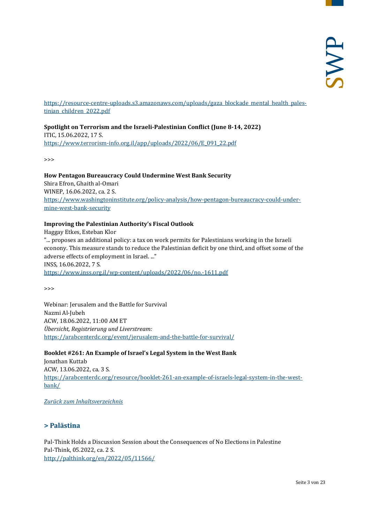[https://resource-centre-uploads.s3.amazonaws.com/uploads/gaza\\_blockade\\_mental\\_health\\_pales](https://resource-centre-uploads.s3.amazonaws.com/uploads/gaza_blockade_mental_health_palestinian_children_2022.pdf)[tinian\\_children\\_2022.pdf](https://resource-centre-uploads.s3.amazonaws.com/uploads/gaza_blockade_mental_health_palestinian_children_2022.pdf)

# **Spotlight on Terrorism and the Israeli-Palestinian Conflict (June 8-14, 2022)**

ITIC, 15.06.2022, 17 S. [https://www.terrorism-info.org.il/app/uploads/2022/06/E\\_091\\_22.pdf](https://www.terrorism-info.org.il/app/uploads/2022/06/E_091_22.pdf)

>>>

#### **How Pentagon Bureaucracy Could Undermine West Bank Security**

Shira Efron, Ghaith al-Omari WINEP, 16.06.2022, ca. 2 S. [https://www.washingtoninstitute.org/policy-analysis/how-pentagon-bureaucracy-could-under](https://www.washingtoninstitute.org/policy-analysis/how-pentagon-bureaucracy-could-undermine-west-bank-security)[mine-west-bank-security](https://www.washingtoninstitute.org/policy-analysis/how-pentagon-bureaucracy-could-undermine-west-bank-security)

#### **Improving the Palestinian Authority's Fiscal Outlook**

Haggay Etkes, Esteban Klor "... proposes an additional policy: a tax on work permits for Palestinians working in the Israeli econony. This measure stands to reduce the Palestinian deficit by one third, and offset some of the adverse effects of employment in Israel. ..." INSS, 16.06.2022, 7 S. <https://www.inss.org.il/wp-content/uploads/2022/06/no.-1611.pdf>

>>>

Webinar: Jerusalem and the Battle for Survival Nazmi Al-Jubeh ACW, 18.06.2022, 11:00 AM ET *Übersicht, Registrierung und Liverstream:* <https://arabcenterdc.org/event/jerusalem-and-the-battle-for-survival/>

#### **Booklet #261: An Example of Israel's Legal System in the West Bank**

Jonathan Kuttab ACW, 13.06.2022, ca. 3 S. [https://arabcenterdc.org/resource/booklet-261-an-example-of-israels-legal-system-in-the-west](https://arabcenterdc.org/resource/booklet-261-an-example-of-israels-legal-system-in-the-west-bank/)[bank/](https://arabcenterdc.org/resource/booklet-261-an-example-of-israels-legal-system-in-the-west-bank/)

#### <span id="page-2-0"></span>*[Zurück zum Inhaltsverzeichnis](#page-0-0)*

#### **> Palästina**

Pal-Think Holds a Discussion Session about the Consequences of No Elections in Palestine Pal-Think, 05.2022, ca. 2 S. <http://palthink.org/en/2022/05/11566/>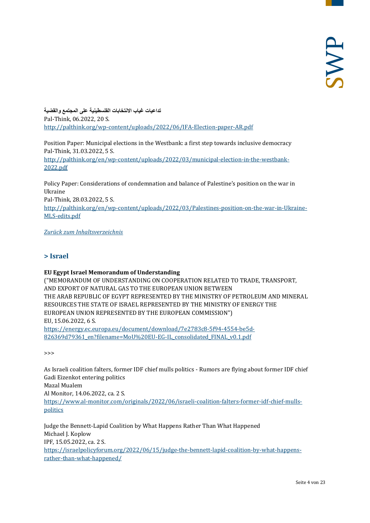**تداعیات غیاب الانتخابات الفلسطینیة على المجتمع والقضیة** Pal-Think, 06.2022, 20 S. <http://palthink.org/wp-content/uploads/2022/06/IFA-Election-paper-AR.pdf>

Position Paper: Municipal elections in the Westbank: a first step towards inclusive democracy Pal-Think, 31.03.2022, 5 S.

[http://palthink.org/en/wp-content/uploads/2022/03/municipal-election-in-the-westbank-](http://palthink.org/en/wp-content/uploads/2022/03/municipal-election-in-the-westbank-2022.pdf)[2022.pdf](http://palthink.org/en/wp-content/uploads/2022/03/municipal-election-in-the-westbank-2022.pdf)

Policy Paper: Considerations of condemnation and balance of Palestine's position on the war in Ukraine Pal-Think, 28.03.2022, 5 S. [http://palthink.org/en/wp-content/uploads/2022/03/Palestines-position-on-the-war-in-Ukraine-](http://palthink.org/en/wp-content/uploads/2022/03/Palestines-position-on-the-war-in-Ukraine-MLS-edits.pdf)[MLS-edits.pdf](http://palthink.org/en/wp-content/uploads/2022/03/Palestines-position-on-the-war-in-Ukraine-MLS-edits.pdf)

<span id="page-3-0"></span>*[Zurück zum Inhaltsverzeichnis](#page-0-0)*

#### **> Israel**

#### **EU Egypt Israel Memorandum of Understanding**

("MEMORANDUM OF UNDERSTANDING ON COOPERATION RELATED TO TRADE, TRANSPORT, AND EXPORT OF NATURAL GAS TO THE EUROPEAN UNION BETWEEN THE ARAB REPUBLIC OF EGYPT REPRESENTED BY THE MINISTRY OF PETROLEUM AND MINERAL RESOURCES THE STATE OF ISRAEL REPRESENTED BY THE MINISTRY OF ENERGY THE EUROPEAN UNION REPRESENTED BY THE EUROPEAN COMMISSION") EU, 15.06.2022, 6 S.

[https://energy.ec.europa.eu/document/download/7e2783c8-5f94-4554-be5d-](https://energy.ec.europa.eu/document/download/7e2783c8-5f94-4554-be5d-826369d79361_en?filename=MoU%20EU-EG-IL_consolidated_FINAL_v0.1.pdf)[826369d79361\\_en?filename=MoU%20EU-EG-IL\\_consolidated\\_FINAL\\_v0.1.pdf](https://energy.ec.europa.eu/document/download/7e2783c8-5f94-4554-be5d-826369d79361_en?filename=MoU%20EU-EG-IL_consolidated_FINAL_v0.1.pdf)

>>>

As Israeli coalition falters, former IDF chief mulls politics - Rumors are flying about former IDF chief Gadi Eizenkot entering politics Mazal Mualem Al Monitor, 14.06.2022, ca. 2 S. [https://www.al-monitor.com/originals/2022/06/israeli-coalition-falters-former-idf-chief-mulls](https://www.al-monitor.com/originals/2022/06/israeli-coalition-falters-former-idf-chief-mulls-politics)[politics](https://www.al-monitor.com/originals/2022/06/israeli-coalition-falters-former-idf-chief-mulls-politics)

Judge the Bennett-Lapid Coalition by What Happens Rather Than What Happened Michael I. Koplow IPF, 15.05.2022, ca. 2 S. [https://israelpolicyforum.org/2022/06/15/judge-the-bennett-lapid-coalition-by-what-happens](https://israelpolicyforum.org/2022/06/15/judge-the-bennett-lapid-coalition-by-what-happens-rather-than-what-happened/)[rather-than-what-happened/](https://israelpolicyforum.org/2022/06/15/judge-the-bennett-lapid-coalition-by-what-happens-rather-than-what-happened/)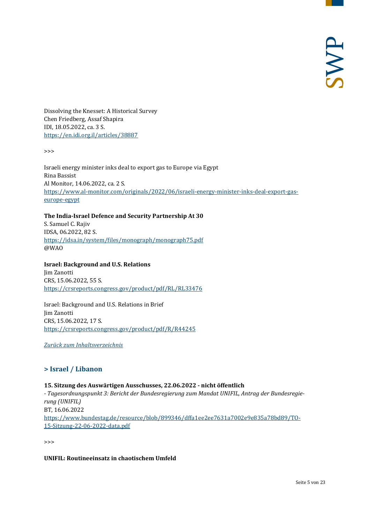Dissolving the Knesset: A Historical Survey Chen Friedberg, Assaf Shapira IDI, 18.05.2022, ca. 3 S. <https://en.idi.org.il/articles/38887>

>>>

Israeli energy minister inks deal to export gas to Europe via Egypt Rina Bassist Al Monitor, 14.06.2022, ca. 2 S. [https://www.al-monitor.com/originals/2022/06/israeli-energy-minister-inks-deal-export-gas](https://www.al-monitor.com/originals/2022/06/israeli-energy-minister-inks-deal-export-gas-europe-egypt)[europe-egypt](https://www.al-monitor.com/originals/2022/06/israeli-energy-minister-inks-deal-export-gas-europe-egypt)

#### **The India-Israel Defence and Security Partnership At 30**

S. Samuel C. Rajiv IDSA, 06.2022, 82 S. <https://idsa.in/system/files/monograph/monograph75.pdf> @WAO

#### **Israel: Background and U.S. Relations**

Jim Zanotti CRS, 15.06.2022, 55 S. <https://crsreports.congress.gov/product/pdf/RL/RL33476>

Israel: Background and U.S. Relations in Brief Jim Zanotti CRS, 15.06.2022, 17 S. <https://crsreports.congress.gov/product/pdf/R/R44245>

<span id="page-4-0"></span>*[Zurück zum Inhaltsverzeichnis](#page-0-0)*

#### **> Israel / Libanon**

#### **15. Sitzung des Auswärtigen Ausschusses, 22.06.2022 - nicht öffentlich**

*- Tagesordnungspunkt 3: Bericht der Bundesregierung zum Mandat UNIFIL, Antrag der Bundesregierung (UNIFIL)* BT, 16.06.2022 [https://www.bundestag.de/resource/blob/899346/dffa1ee2ee7631a7002e9e835a78bd89/TO-](https://www.bundestag.de/resource/blob/899346/dffa1ee2ee7631a7002e9e835a78bd89/TO-15-Sitzung-22-06-2022-data.pdf)[15-Sitzung-22-06-2022-data.pdf](https://www.bundestag.de/resource/blob/899346/dffa1ee2ee7631a7002e9e835a78bd89/TO-15-Sitzung-22-06-2022-data.pdf)

>>>

#### **UNIFIL: Routineeinsatz in chaotischem Umfeld**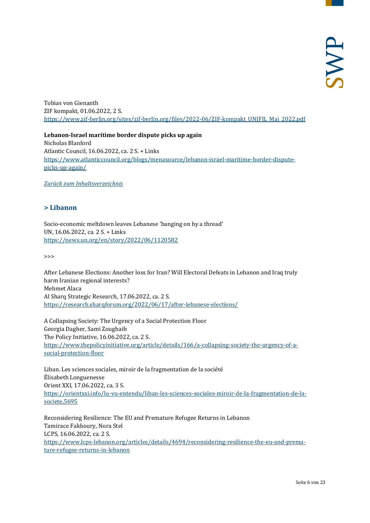Tobias von Gienanth ZIF kompakt, 01.06.2022, 2 S. [https://www.zif-berlin.org/sites/zif-berlin.org/files/2022-06/ZIF-kompakt\\_UNIFIL\\_Mai\\_2022.pdf](https://www.zif-berlin.org/sites/zif-berlin.org/files/2022-06/ZIF-kompakt_UNIFIL_Mai_2022.pdf)

**Lebanon-Israel maritime border dispute picks up again** Nicholas Blanford Atlantic Council, 16.06.2022, ca. 2 S. + Links [https://www.atlanticcouncil.org/blogs/menasource/lebanon-israel-maritime-border-dispute](https://www.atlanticcouncil.org/blogs/menasource/lebanon-israel-maritime-border-dispute-picks-up-again/)[picks-up-again/](https://www.atlanticcouncil.org/blogs/menasource/lebanon-israel-maritime-border-dispute-picks-up-again/)

<span id="page-5-0"></span>*[Zurück zum Inhaltsverzeichnis](#page-0-0)*

#### **> Libanon**

Socio-economic meltdown leaves Lebanese 'hanging on by a thread' UN, 16.06.2022, ca. 2 S. + Links <https://news.un.org/en/story/2022/06/1120582>

>>>

After Lebanese Elections: Another loss for Iran? Will Electoral Defeats in Lebanon and Iraq truly harm Iranian regional interests? Mehmet Alaca Al Sharq Strategic Research, 17.06.2022, ca. 2 S. <https://research.sharqforum.org/2022/06/17/after-lebanese-elections/>

A Collapsing Society: The Urgency of a Social Protection Floor Georgia Dagher, Sami Zoughaib The Policy Initiative, 16.06.2022, ca. 2 S. [https://www.thepolicyinitiative.org/article/details/166/a-collapsing-society-the-urgency-of-a](https://www.thepolicyinitiative.org/article/details/166/a-collapsing-society-the-urgency-of-a-social-protection-floor)[social-protection-floor](https://www.thepolicyinitiative.org/article/details/166/a-collapsing-society-the-urgency-of-a-social-protection-floor)

Liban. Les sciences sociales, miroir de la fragmentation de la société Élisabeth Longuenesse Orient XXI, 17.06.2022, ca. 3 S. [https://orientxxi.info/lu-vu-entendu/liban-les-sciences-sociales-miroir-de-la-fragmentation-de-la](https://orientxxi.info/lu-vu-entendu/liban-les-sciences-sociales-miroir-de-la-fragmentation-de-la-societe,5695)[societe,5695](https://orientxxi.info/lu-vu-entendu/liban-les-sciences-sociales-miroir-de-la-fragmentation-de-la-societe,5695)

Reconsidering Resilience: The EU and Premature Refugee Returns in Lebanon Tamirace Fakhoury, Nora Stel LCPS, 16.06.2022, ca. 2 S. [https://www.lcps-lebanon.org/articles/details/4694/reconsidering-resilience-the-eu-and-prema](https://www.lcps-lebanon.org/articles/details/4694/reconsidering-resilience-the-eu-and-premature-refugee-returns-in-lebanon)[ture-refugee-returns-in-lebanon](https://www.lcps-lebanon.org/articles/details/4694/reconsidering-resilience-the-eu-and-premature-refugee-returns-in-lebanon)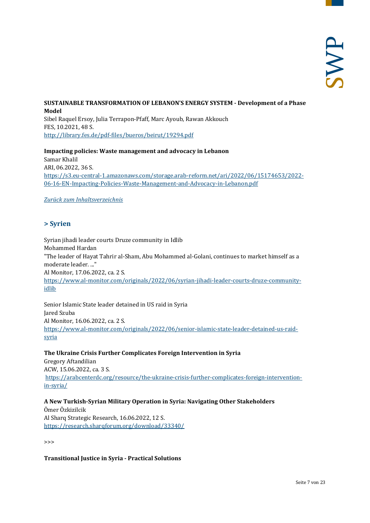#### **SUSTAINABLE TRANSFORMATION OF LEBANON'S ENERGY SYSTEM - Development of a Phase Model** Sibel Raquel Ersoy, Julia Terrapon-Pfaff, Marc Ayoub, Rawan Akkouch

FES, 10.2021, 48 S. <http://library.fes.de/pdf-files/bueros/beirut/19294.pdf>

**Impacting policies: Waste management and advocacy in Lebanon** Samar Khalil ARI, 06.2022, 36 S. [https://s3.eu-central-1.amazonaws.com/storage.arab-reform.net/ari/2022/06/15174653/2022-](https://s3.eu-central-1.amazonaws.com/storage.arab-reform.net/ari/2022/06/15174653/2022-06-16-EN-Impacting-Policies-Waste-Management-and-Advocacy-in-Lebanon.pdf) [06-16-EN-Impacting-Policies-Waste-Management-and-Advocacy-in-Lebanon.pdf](https://s3.eu-central-1.amazonaws.com/storage.arab-reform.net/ari/2022/06/15174653/2022-06-16-EN-Impacting-Policies-Waste-Management-and-Advocacy-in-Lebanon.pdf)

<span id="page-6-0"></span>*[Zurück zum Inhaltsverzeichnis](#page-0-0)*

# **> Syrien**

Syrian jihadi leader courts Druze community in Idlib Mohammed Hardan "The leader of Hayat Tahrir al-Sham, Abu Mohammed al-Golani, continues to market himself as a moderate leader. ..." Al Monitor, 17.06.2022, ca. 2 S. [https://www.al-monitor.com/originals/2022/06/syrian-jihadi-leader-courts-druze-community](https://www.al-monitor.com/originals/2022/06/syrian-jihadi-leader-courts-druze-community-idlib)[idlib](https://www.al-monitor.com/originals/2022/06/syrian-jihadi-leader-courts-druze-community-idlib)

Senior Islamic State leader detained in US raid in Syria Jared Szuba Al Monitor, 16.06.2022, ca. 2 S. [https://www.al-monitor.com/originals/2022/06/senior-islamic-state-leader-detained-us-raid](https://www.al-monitor.com/originals/2022/06/senior-islamic-state-leader-detained-us-raid-syria)[syria](https://www.al-monitor.com/originals/2022/06/senior-islamic-state-leader-detained-us-raid-syria)

#### **The Ukraine Crisis Further Complicates Foreign Intervention in Syria**

Gregory Aftandilian ACW, 15.06.2022, ca. 3 S. [https://arabcenterdc.org/resource/the-ukraine-crisis-further-complicates-foreign-intervention](https://arabcenterdc.org/resource/the-ukraine-crisis-further-complicates-foreign-intervention-in-syria/)[in-syria/](https://arabcenterdc.org/resource/the-ukraine-crisis-further-complicates-foreign-intervention-in-syria/)

#### **A New Turkish-Syrian Military Operation in Syria: Navigating Other Stakeholders**

Ömer Özkizilcik Al Sharq Strategic Research, 16.06.2022, 12 S. <https://research.sharqforum.org/download/33340/>

>>>

#### **Transitional Justice in Syria - Practical Solutions**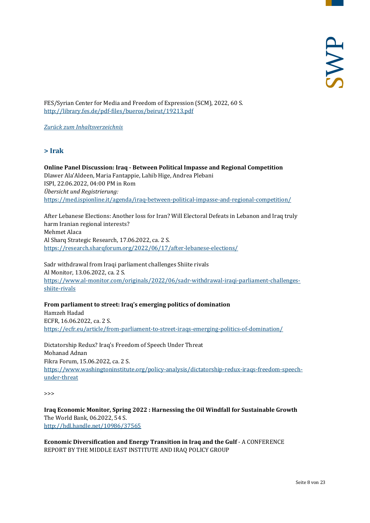FES/Syrian Center for Media and Freedom of Expression (SCM), 2022, 60 S. <http://library.fes.de/pdf-files/bueros/beirut/19213.pdf>

<span id="page-7-0"></span>*[Zurück zum Inhaltsverzeichnis](#page-0-0)*

#### **> Irak**

**Online Panel Discussion: Iraq - Between Political Impasse and Regional Competition** Dlawer Ala'Aldeen, Maria Fantappie, Lahib Hige, Andrea Plebani ISPI, 22.06.2022, 04:00 PM in Rom *Übersicht und Registrierung:* <https://med.ispionline.it/agenda/iraq-between-political-impasse-and-regional-competition/>

After Lebanese Elections: Another loss for Iran? Will Electoral Defeats in Lebanon and Iraq truly harm Iranian regional interests? Mehmet Alaca Al Sharq Strategic Research, 17.06.2022, ca. 2 S. <https://research.sharqforum.org/2022/06/17/after-lebanese-elections/>

Sadr withdrawal from Iraqi parliament challenges Shiite rivals Al Monitor, 13.06.2022, ca. 2 S. [https://www.al-monitor.com/originals/2022/06/sadr-withdrawal-iraqi-parliament-challenges](https://www.al-monitor.com/originals/2022/06/sadr-withdrawal-iraqi-parliament-challenges-shiite-rivals)[shiite-rivals](https://www.al-monitor.com/originals/2022/06/sadr-withdrawal-iraqi-parliament-challenges-shiite-rivals)

**From parliament to street: Iraq's emerging politics of domination** Hamzeh Hadad ECFR, 16.06.2022, ca. 2 S. <https://ecfr.eu/article/from-parliament-to-street-iraqs-emerging-politics-of-domination/>

Dictatorship Redux? Iraq's Freedom of Speech Under Threat Mohanad Adnan Fikra Forum, 15.06.2022, ca. 2 S. [https://www.washingtoninstitute.org/policy-analysis/dictatorship-redux-iraqs-freedom-speech](https://www.washingtoninstitute.org/policy-analysis/dictatorship-redux-iraqs-freedom-speech-under-threat)[under-threat](https://www.washingtoninstitute.org/policy-analysis/dictatorship-redux-iraqs-freedom-speech-under-threat)

>>>

**Iraq Economic Monitor, Spring 2022 : Harnessing the Oil Windfall for Sustainable Growth** The World Bank, 06.2022, 54 S. <http://hdl.handle.net/10986/37565>

**Economic Diversification and Energy Transition in Iraq and the Gulf** - A CONFERENCE REPORT BY THE MIDDLE EAST INSTITUTE AND IRAQ POLICY GROUP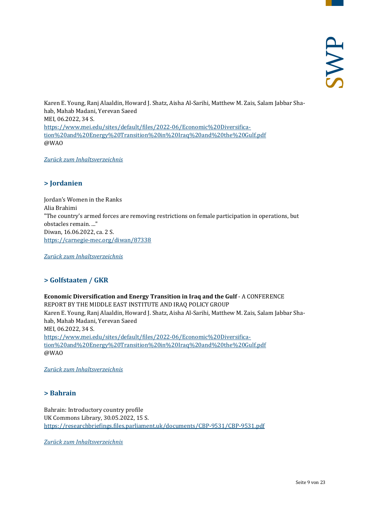Karen E. Young, Ranj Alaaldin, Howard J. Shatz, Aisha Al-Sarihi, Matthew M. Zais, Salam Jabbar Shahab, Mahab Madani, Yerevan Saeed MEI, 06.2022, 34 S. [https://www.mei.edu/sites/default/files/2022-06/Economic%20Diversifica](https://www.mei.edu/sites/default/files/2022-06/Economic%20Diversification%20and%20Energy%20Transition%20in%20Iraq%20and%20the%20Gulf.pdf)[tion%20and%20Energy%20Transition%20in%20Iraq%20and%20the%20Gulf.pdf](https://www.mei.edu/sites/default/files/2022-06/Economic%20Diversification%20and%20Energy%20Transition%20in%20Iraq%20and%20the%20Gulf.pdf) @WAO

<span id="page-8-0"></span>*[Zurück zum Inhaltsverzeichnis](#page-0-0)*

#### **> Jordanien**

Jordan's Women in the Ranks Alia Brahimi "The country's armed forces are removing restrictions on female participation in operations, but obstacles remain. ..." Diwan, 16.06.2022, ca. 2 S. <https://carnegie-mec.org/diwan/87338>

<span id="page-8-1"></span>*[Zurück zum Inhaltsverzeichnis](#page-0-0)*

# **> Golfstaaten / GKR**

**Economic Diversification and Energy Transition in Iraq and the Gulf** - A CONFERENCE REPORT BY THE MIDDLE EAST INSTITUTE AND IRAQ POLICY GROUP Karen E. Young, Ranj Alaaldin, Howard J. Shatz, Aisha Al-Sarihi, Matthew M. Zais, Salam Jabbar Shahab, Mahab Madani, Yerevan Saeed MEI, 06.2022, 34 S. [https://www.mei.edu/sites/default/files/2022-06/Economic%20Diversifica](https://www.mei.edu/sites/default/files/2022-06/Economic%20Diversification%20and%20Energy%20Transition%20in%20Iraq%20and%20the%20Gulf.pdf)[tion%20and%20Energy%20Transition%20in%20Iraq%20and%20the%20Gulf.pdf](https://www.mei.edu/sites/default/files/2022-06/Economic%20Diversification%20and%20Energy%20Transition%20in%20Iraq%20and%20the%20Gulf.pdf) @WAO

<span id="page-8-2"></span>*[Zurück zum Inhaltsverzeichnis](#page-0-0)*

#### **> Bahrain**

Bahrain: Introductory country profile UK Commons Library, 30.05.2022, 15 S. <https://researchbriefings.files.parliament.uk/documents/CBP-9531/CBP-9531.pdf>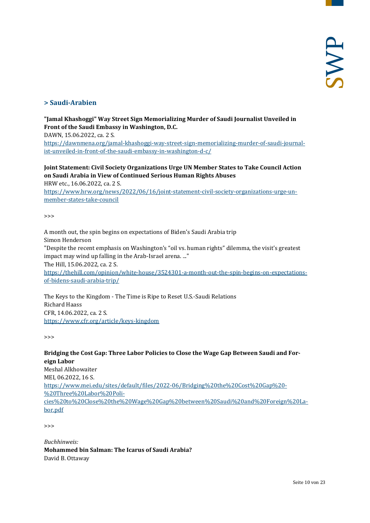# <span id="page-9-0"></span>**> Saudi-Arabien**

#### **"Jamal Khashoggi" Way Street Sign Memorializing Murder of Saudi Journalist Unveiled in Front of the Saudi Embassy in Washington, D.C.**

DAWN, 15.06.2022, ca. 2 S.

[https://dawnmena.org/jamal-khashoggi-way-street-sign-memorializing-murder-of-saudi-journal](https://dawnmena.org/jamal-khashoggi-way-street-sign-memorializing-murder-of-saudi-journalist-unveiled-in-front-of-the-saudi-embassy-in-washington-d-c/)[ist-unveiled-in-front-of-the-saudi-embassy-in-washington-d-c/](https://dawnmena.org/jamal-khashoggi-way-street-sign-memorializing-murder-of-saudi-journalist-unveiled-in-front-of-the-saudi-embassy-in-washington-d-c/)

## **Joint Statement: Civil Society Organizations Urge UN Member States to Take Council Action on Saudi Arabia in View of Continued Serious Human Rights Abuses**

HRW etc., 16.06.2022, ca. 2 S.

[https://www.hrw.org/news/2022/06/16/joint-statement-civil-society-organizations-urge-un](https://www.hrw.org/news/2022/06/16/joint-statement-civil-society-organizations-urge-un-member-states-take-council)[member-states-take-council](https://www.hrw.org/news/2022/06/16/joint-statement-civil-society-organizations-urge-un-member-states-take-council)

 $\rightarrow$ 

A month out, the spin begins on expectations of Biden's Saudi Arabia trip Simon Henderson "Despite the recent emphasis on Washington's "oil vs. human rights" dilemma, the visit's greatest impact may wind up falling in the Arab-Israel arena. ..." The Hill, 15.06.2022, ca. 2 S. [https://thehill.com/opinion/white-house/3524301-a-month-out-the-spin-begins-on-expectations](https://thehill.com/opinion/white-house/3524301-a-month-out-the-spin-begins-on-expectations-of-bidens-saudi-arabia-trip/)[of-bidens-saudi-arabia-trip/](https://thehill.com/opinion/white-house/3524301-a-month-out-the-spin-begins-on-expectations-of-bidens-saudi-arabia-trip/)

The Keys to the Kingdom - The Time is Ripe to Reset U.S.-Saudi Relations Richard Haass CFR, 14.06.2022, ca. 2 S. <https://www.cfr.org/article/keys-kingdom>

>>>

#### **Bridging the Cost Gap: Three Labor Policies to Close the Wage Gap Between Saudi and Foreign Labor**

Meshal Alkhowaiter MEI, 06.2022, 16 S. [https://www.mei.edu/sites/default/files/2022-06/Bridging%20the%20Cost%20Gap%20-](https://www.mei.edu/sites/default/files/2022-06/Bridging%20the%20Cost%20Gap%20-%20Three%20Labor%20Policies%20to%20Close%20the%20Wage%20Gap%20between%20Saudi%20and%20Foreign%20Labor.pdf) [%20Three%20Labor%20Poli](https://www.mei.edu/sites/default/files/2022-06/Bridging%20the%20Cost%20Gap%20-%20Three%20Labor%20Policies%20to%20Close%20the%20Wage%20Gap%20between%20Saudi%20and%20Foreign%20Labor.pdf)[cies%20to%20Close%20the%20Wage%20Gap%20between%20Saudi%20and%20Foreign%20La](https://www.mei.edu/sites/default/files/2022-06/Bridging%20the%20Cost%20Gap%20-%20Three%20Labor%20Policies%20to%20Close%20the%20Wage%20Gap%20between%20Saudi%20and%20Foreign%20Labor.pdf)[bor.pdf](https://www.mei.edu/sites/default/files/2022-06/Bridging%20the%20Cost%20Gap%20-%20Three%20Labor%20Policies%20to%20Close%20the%20Wage%20Gap%20between%20Saudi%20and%20Foreign%20Labor.pdf)

>>>

*Buchhinweis:* **Mohammed bin Salman: The Icarus of Saudi Arabia?** David B. Ottaway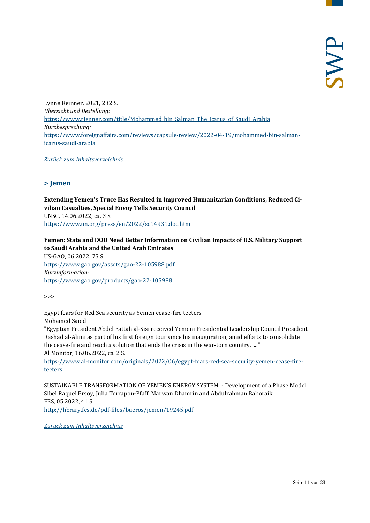Lynne Reinner, 2021, 232 S. *Übersicht und Bestellung:* [https://www.rienner.com/title/Mohammed\\_bin\\_Salman\\_The\\_Icarus\\_of\\_Saudi\\_Arabia](https://www.rienner.com/title/Mohammed_bin_Salman_The_Icarus_of_Saudi_Arabia) *Kurzbesprechung:* [https://www.foreignaffairs.com/reviews/capsule-review/2022-04-19/mohammed-bin-salman](https://www.foreignaffairs.com/reviews/capsule-review/2022-04-19/mohammed-bin-salman-icarus-saudi-arabia)[icarus-saudi-arabia](https://www.foreignaffairs.com/reviews/capsule-review/2022-04-19/mohammed-bin-salman-icarus-saudi-arabia)

<span id="page-10-0"></span>*[Zurück zum Inhaltsverzeichnis](#page-0-0)*

#### **> Jemen**

**Extending Yemen's Truce Has Resulted in Improved Humanitarian Conditions, Reduced Civilian Casualties, Special Envoy Tells Security Council** UNSC, 14.06.2022, ca. 3 S. <https://www.un.org/press/en/2022/sc14931.doc.htm>

## **Yemen: State and DOD Need Better Information on Civilian Impacts of U.S. Military Support to Saudi Arabia and the United Arab Emirates**

US-GAO, 06.2022, 75 S. <https://www.gao.gov/assets/gao-22-105988.pdf> *Kurzinformation:* <https://www.gao.gov/products/gao-22-105988>

>>>

Egypt fears for Red Sea security as Yemen cease-fire teeters

Mohamed Saied

"Egyptian President Abdel Fattah al-Sisi received Yemeni Presidential Leadership Council President Rashad al-Alimi as part of his first foreign tour since his inauguration, amid efforts to consolidate the cease-fire and reach a solution that ends the crisis in the war-torn country. ..." Al Monitor, 16.06.2022, ca. 2 S.

[https://www.al-monitor.com/originals/2022/06/egypt-fears-red-sea-security-yemen-cease-fire](https://www.al-monitor.com/originals/2022/06/egypt-fears-red-sea-security-yemen-cease-fire-teeters)[teeters](https://www.al-monitor.com/originals/2022/06/egypt-fears-red-sea-security-yemen-cease-fire-teeters)

SUSTAINABLE TRANSFORMATION OF YEMEN'S ENERGY SYSTEM - Development of a Phase Model Sibel Raquel Ersoy, Julia Terrapon-Pfaff, Marwan Dhamrin and Abdulrahman Baboraik FES, 05.2022, 41 S.

<http://library.fes.de/pdf-files/bueros/jemen/19245.pdf>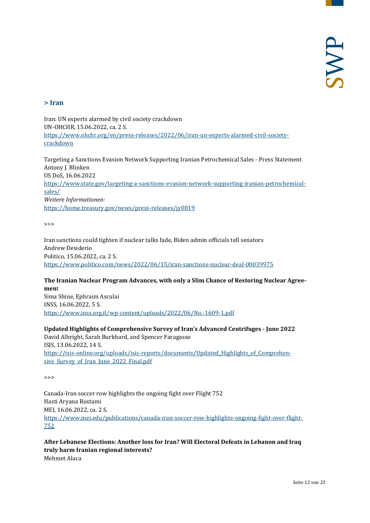#### <span id="page-11-0"></span>**> Iran**

Iran: UN experts alarmed by civil society crackdown UN-OHCHR, 15.06.2022, ca. 2 S. [https://www.ohchr.org/en/press-releases/2022/06/iran-un-experts-alarmed-civil-society](https://www.ohchr.org/en/press-releases/2022/06/iran-un-experts-alarmed-civil-society-crackdown)[crackdown](https://www.ohchr.org/en/press-releases/2022/06/iran-un-experts-alarmed-civil-society-crackdown)

Targeting a Sanctions Evasion Network Supporting Iranian Petrochemical Sales - Press Statement Antony J. Blinken US DoS, 16.06.2022 [https://www.state.gov/targeting-a-sanctions-evasion-network-supporting-iranian-petrochemical](https://www.state.gov/targeting-a-sanctions-evasion-network-supporting-iranian-petrochemical-sales/)[sales/](https://www.state.gov/targeting-a-sanctions-evasion-network-supporting-iranian-petrochemical-sales/) *Weitere Informationen:* <https://home.treasury.gov/news/press-releases/jy0819>

 $\rightarrow$ 

Iran sanctions could tighten if nuclear talks fade, Biden admin officials tell senators Andrew Desiderio Politico, 15.06.2022, ca. 2 S. <https://www.politico.com/news/2022/06/15/iran-sanctions-nuclear-deal-00039975>

#### **The Iranian Nuclear Program Advances, with only a Slim Chance of Restoring Nuclear Agreemen**t

Sima Shine, Ephraim Asculai INSS, 16.06.2022, 5 S. <https://www.inss.org.il/wp-content/uploads/2022/06/No.-1609-1.pdf>

**Updated Highlights of Comprehensive Survey of Iran's Advanced Centrifuges - June 2022** David Albright, Sarah Burkhard, and Spencer Faragasso ISIS, 13.06.2022, 14 S. [https://isis-online.org/uploads/isis-reports/documents/Updated\\_Highlights\\_of\\_Comprehen](https://isis-online.org/uploads/isis-reports/documents/Updated_Highlights_of_Comprehensive_Survey_of_Iran_June_2022_Final.pdf)sive Survey of Iran June 2022 Final.pdf

>>>

Canada-Iran soccer row highlights the ongoing fight over Flight 752 Hasti Aryana Rostami MEI, 16.06.2022, ca. 2 S. [https://www.mei.edu/publications/canada-iran-soccer-row-highlights-ongoing-fight-over-flight-](https://www.mei.edu/publications/canada-iran-soccer-row-highlights-ongoing-fight-over-flight-752)[752](https://www.mei.edu/publications/canada-iran-soccer-row-highlights-ongoing-fight-over-flight-752)

**After Lebanese Elections: Another loss for Iran? Will Electoral Defeats in Lebanon and Iraq truly harm Iranian regional interests?** Mehmet Alaca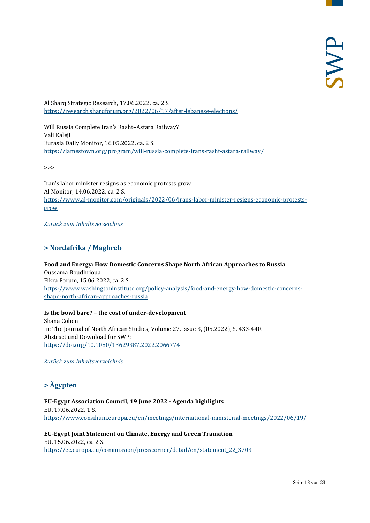Al Sharq Strategic Research, 17.06.2022, ca. 2 S. <https://research.sharqforum.org/2022/06/17/after-lebanese-elections/>

Will Russia Complete Iran's Rasht–Astara Railway? Vali Kaleji Eurasia Daily Monitor, 16.05.2022, ca. 2 S. <https://jamestown.org/program/will-russia-complete-irans-rasht-astara-railway/>

>>>

Iran's labor minister resigns as economic protests grow Al Monitor, 14.06.2022, ca. 2 S. [https://www.al-monitor.com/originals/2022/06/irans-labor-minister-resigns-economic-protests](https://www.al-monitor.com/originals/2022/06/irans-labor-minister-resigns-economic-protests-grow)[grow](https://www.al-monitor.com/originals/2022/06/irans-labor-minister-resigns-economic-protests-grow)

<span id="page-12-0"></span>*[Zurück zum Inhaltsverzeichnis](#page-0-0)*

# **> Nordafrika / Maghreb**

#### **Food and Energy: How Domestic Concerns Shape North African Approaches to Russia**

Oussama Boudhrioua Fikra Forum, 15.06.2022, ca. 2 S. [https://www.washingtoninstitute.org/policy-analysis/food-and-energy-how-domestic-concerns](https://www.washingtoninstitute.org/policy-analysis/food-and-energy-how-domestic-concerns-shape-north-african-approaches-russia)[shape-north-african-approaches-russia](https://www.washingtoninstitute.org/policy-analysis/food-and-energy-how-domestic-concerns-shape-north-african-approaches-russia)

#### **Is the bowl bare? – the cost of under-development**

Shana Cohen In: The Journal of North African Studies, Volume 27, Issue 3, (05.2022), S. 433-440. Abstract und Download für SWP: <https://doi.org/10.1080/13629387.2022.2066774>

<span id="page-12-1"></span>*[Zurück zum Inhaltsverzeichnis](#page-0-0)*

# **> Ägypten**

**EU-Egypt Association Council, 19 June 2022 - Agenda highlights** EU, 17.06.2022, 1 S. <https://www.consilium.europa.eu/en/meetings/international-ministerial-meetings/2022/06/19/>

**EU-Egypt Joint Statement on Climate, Energy and Green Transition** EU, 15.06.2022, ca. 2 S. [https://ec.europa.eu/commission/presscorner/detail/en/statement\\_22\\_3703](https://ec.europa.eu/commission/presscorner/detail/en/statement_22_3703)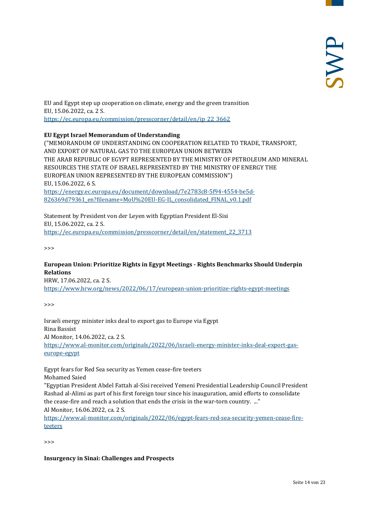EU and Egypt step up cooperation on climate, energy and the green transition EU, 15.06.2022, ca. 2 S. [https://ec.europa.eu/commission/presscorner/detail/en/ip\\_22\\_3662](https://ec.europa.eu/commission/presscorner/detail/en/ip_22_3662)

#### **EU Egypt Israel Memorandum of Understanding**

("MEMORANDUM OF UNDERSTANDING ON COOPERATION RELATED TO TRADE, TRANSPORT, AND EXPORT OF NATURAL GAS TO THE EUROPEAN UNION BETWEEN THE ARAB REPUBLIC OF EGYPT REPRESENTED BY THE MINISTRY OF PETROLEUM AND MINERAL RESOURCES THE STATE OF ISRAEL REPRESENTED BY THE MINISTRY OF ENERGY THE EUROPEAN UNION REPRESENTED BY THE EUROPEAN COMMISSION") EU, 15.06.2022, 6 S. [https://energy.ec.europa.eu/document/download/7e2783c8-5f94-4554-be5d-](https://energy.ec.europa.eu/document/download/7e2783c8-5f94-4554-be5d-826369d79361_en?filename=MoU%20EU-EG-IL_consolidated_FINAL_v0.1.pdf)[826369d79361\\_en?filename=MoU%20EU-EG-IL\\_consolidated\\_FINAL\\_v0.1.pdf](https://energy.ec.europa.eu/document/download/7e2783c8-5f94-4554-be5d-826369d79361_en?filename=MoU%20EU-EG-IL_consolidated_FINAL_v0.1.pdf)

Statement by President von der Leyen with Egyptian President El-Sisi EU, 15.06.2022, ca. 2 S. [https://ec.europa.eu/commission/presscorner/detail/en/statement\\_22\\_3713](https://ec.europa.eu/commission/presscorner/detail/en/statement_22_3713)

>>>

#### **European Union: Prioritize Rights in Egypt Meetings - Rights Benchmarks Should Underpin Relations**

HRW, 17.06.2022, ca. 2 S. <https://www.hrw.org/news/2022/06/17/european-union-prioritize-rights-egypt-meetings>

>>>

Israeli energy minister inks deal to export gas to Europe via Egypt Rina Bassist Al Monitor, 14.06.2022, ca. 2 S. [https://www.al-monitor.com/originals/2022/06/israeli-energy-minister-inks-deal-export-gas](https://www.al-monitor.com/originals/2022/06/israeli-energy-minister-inks-deal-export-gas-europe-egypt)[europe-egypt](https://www.al-monitor.com/originals/2022/06/israeli-energy-minister-inks-deal-export-gas-europe-egypt)

Egypt fears for Red Sea security as Yemen cease-fire teeters Mohamed Saied

"Egyptian President Abdel Fattah al-Sisi received Yemeni Presidential Leadership Council President Rashad al-Alimi as part of his first foreign tour since his inauguration, amid efforts to consolidate the cease-fire and reach a solution that ends the crisis in the war-torn country. ..." Al Monitor, 16.06.2022, ca. 2 S.

[https://www.al-monitor.com/originals/2022/06/egypt-fears-red-sea-security-yemen-cease-fire](https://www.al-monitor.com/originals/2022/06/egypt-fears-red-sea-security-yemen-cease-fire-teeters)[teeters](https://www.al-monitor.com/originals/2022/06/egypt-fears-red-sea-security-yemen-cease-fire-teeters)

>>>

**Insurgency in Sinai: Challenges and Prospects**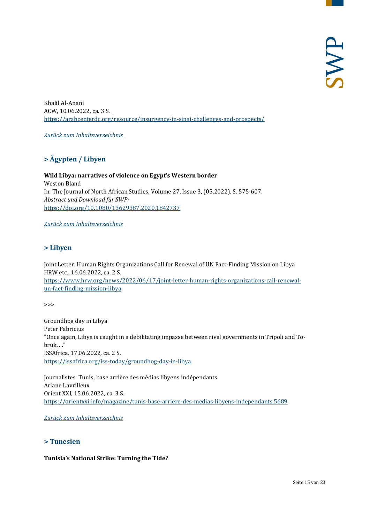Khalil Al-Anani ACW, 10.06.2022, ca. 3 S. <https://arabcenterdc.org/resource/insurgency-in-sinai-challenges-and-prospects/>

<span id="page-14-0"></span>*[Zurück zum Inhaltsverzeichnis](#page-0-0)*

# **> Ägypten / Libyen**

**Wild Libya: narratives of violence on Egypt's Western border** Weston Bland In: The Journal of North African Studies, Volume 27, Issue 3, (05.2022), S. 575-607. *Abstract und Download für SWP:* <https://doi.org/10.1080/13629387.2020.1842737>

<span id="page-14-1"></span>*[Zurück zum Inhaltsverzeichnis](#page-0-0)*

#### **> Libyen**

Joint Letter: Human Rights Organizations Call for Renewal of UN Fact-Finding Mission on Libya HRW etc., 16.06.2022, ca. 2 S. [https://www.hrw.org/news/2022/06/17/joint-letter-human-rights-organizations-call-renewal](https://www.hrw.org/news/2022/06/17/joint-letter-human-rights-organizations-call-renewal-un-fact-finding-mission-libya)[un-fact-finding-mission-libya](https://www.hrw.org/news/2022/06/17/joint-letter-human-rights-organizations-call-renewal-un-fact-finding-mission-libya)

>>>

Groundhog day in Libya Peter Fabricius "Once again, Libya is caught in a debilitating impasse between rival governments in Tripoli and Tobruk. ..." ISSAfrica, 17.06.2022, ca. 2 S. <https://issafrica.org/iss-today/groundhog-day-in-libya>

Journalistes: Tunis, base arrière des médias libyens indépendants Ariane Lavrilleux Orient XXI, 15.06.2022, ca. 3 S. <https://orientxxi.info/magazine/tunis-base-arriere-des-medias-libyens-independants,5689>

<span id="page-14-2"></span>*[Zurück zum Inhaltsverzeichnis](#page-0-0)*

#### **> Tunesien**

#### **Tunisia's National Strike: Turning the Tide?**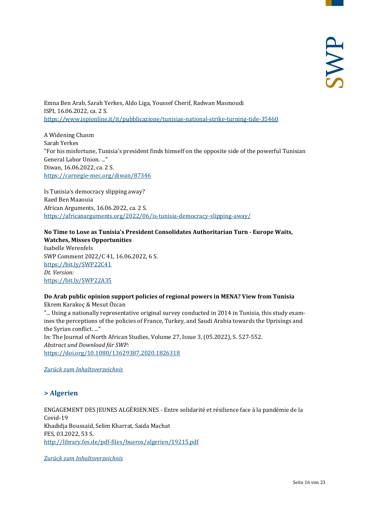Emna Ben Arab, Sarah Yerkes, Aldo Liga, Youssef Cherif, Radwan Masmoudi ISPI, 16.06.2022, ca. 2 S. <https://www.ispionline.it/it/pubblicazione/tunisias-national-strike-turning-tide-35460>

A Widening Chasm Sarah Yerkes "For his misfortune, Tunisia's president finds himself on the opposite side of the powerful Tunisian General Labor Union. ..." Diwan, 16.06.2022, ca. 2 S. <https://carnegie-mec.org/diwan/87346>

Is Tunisia's democracy slipping away? Raed Ben Maaouia African Arguments, 16.06.2022, ca. 2 S. <https://africanarguments.org/2022/06/is-tunisia-democracy-slipping-away/>

#### **No Time to Lose as Tunisia's President Consolidates Authoritarian Turn - Europe Waits, Watches, Misses Opportunities** Isabelle Werenfels SWP Comment 2022/C 41, 16.06.2022, 6 S. <https://bit.ly/SWP22C41> *Dt. Version:* <https://bit.ly/SWP22A35>

#### **Do Arab public opinion support policies of regional powers in MENA? View from Tunisia** Ekrem Karakoç & Mesut Özcan

"... Using a nationally representative original survey conducted in 2014 in Tunisia, this study examines the perceptions of the policies of France, Turkey, and Saudi Arabia towards the Uprisings and the Syrian conflict. ..." In: The Journal of North African Studies, Volume 27, Issue 3, (05.2022), S. 527-552. *Abstract und Download für SWP:* <https://doi.org/10.1080/13629387.2020.1826318>

<span id="page-15-0"></span>*[Zurück zum Inhaltsverzeichnis](#page-0-0)*

# **> Algerien**

ENGAGEMENT DES JEUNES ALGÉRIEN.NES - Entre solidarité et résilience face à la pandémie de la Covid-19 Khadidja Boussaïd, Selim Kharrat, Saida Machat FES, 03.2022, 53 S. <http://library.fes.de/pdf-files/bueros/algerien/19215.pdf>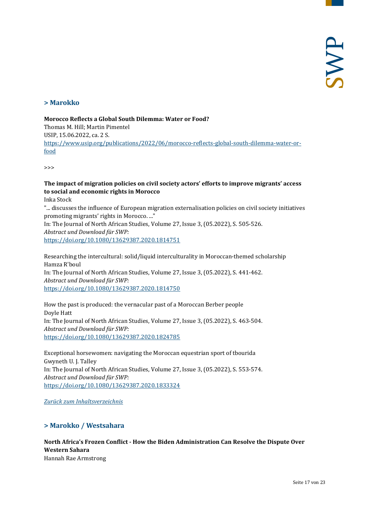#### <span id="page-16-0"></span>**> Marokko**

**Morocco Reflects a Global South Dilemma: Water or Food?** Thomas M. Hill; Martin Pimentel USIP, 15.06.2022, ca. 2 S. [https://www.usip.org/publications/2022/06/morocco-reflects-global-south-dilemma-water-or](https://www.usip.org/publications/2022/06/morocco-reflects-global-south-dilemma-water-or-food)[food](https://www.usip.org/publications/2022/06/morocco-reflects-global-south-dilemma-water-or-food)

>>>

#### **The impact of migration policies on civil society actors' efforts to improve migrants' access to social and economic rights in Morocco**

Inka Stock

"... discusses the influence of European migration externalisation policies on civil society initiatives promoting migrants' rights in Morocco. ..." In: The Journal of North African Studies, Volume 27, Issue 3, (05.2022), S. 505-526. *Abstract und Download für SWP:* <https://doi.org/10.1080/13629387.2020.1814751>

Researching the intercultural: solid/liquid interculturality in Moroccan-themed scholarship Hamza R'boul In: The Journal of North African Studies, Volume 27, Issue 3, (05.2022), S. 441-462. *Abstract und Download für SWP:* <https://doi.org/10.1080/13629387.2020.1814750>

How the past is produced: the vernacular past of a Moroccan Berber people Doyle Hatt In: The Journal of North African Studies, Volume 27, Issue 3, (05.2022), S. 463-504. *Abstract und Download für SWP:* <https://doi.org/10.1080/13629387.2020.1824785>

Exceptional horsewomen: navigating the Moroccan equestrian sport of tbourida Gwyneth U. J. Talley In: The Journal of North African Studies, Volume 27, Issue 3, (05.2022), S. 553-574. *Abstract und Download für SWP:* <https://doi.org/10.1080/13629387.2020.1833324>

<span id="page-16-1"></span>*[Zurück zum Inhaltsverzeichnis](#page-0-0)*

#### **> Marokko / Westsahara**

#### **North Africa's Frozen Conflict - How the Biden Administration Can Resolve the Dispute Over Western Sahara** Hannah Rae Armstrong

Seite 17 von 23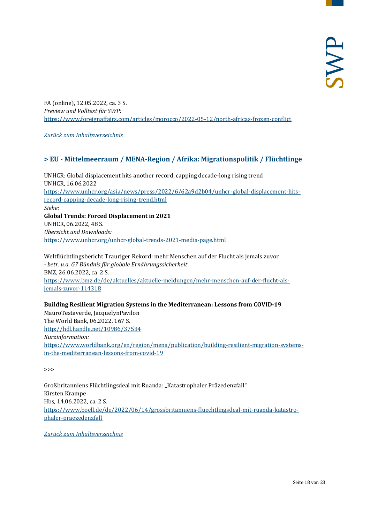FA (online), 12.05.2022, ca. 3 S. *Preview und Volltext für SWP:* <https://www.foreignaffairs.com/articles/morocco/2022-05-12/north-africas-frozen-conflict>

<span id="page-17-0"></span>*[Zurück zum Inhaltsverzeichnis](#page-0-0)*

#### **> EU - Mittelmeerraum / MENA-Region / Afrika: Migrationspolitik / Flüchtlinge**

UNHCR: Global displacement hits another record, capping decade-long rising trend UNHCR, 16.06.2022 [https://www.unhcr.org/asia/news/press/2022/6/62a9d2b04/unhcr-global-displacement-hits](https://www.unhcr.org/asia/news/press/2022/6/62a9d2b04/unhcr-global-displacement-hits-record-capping-decade-long-rising-trend.html)[record-capping-decade-long-rising-trend.html](https://www.unhcr.org/asia/news/press/2022/6/62a9d2b04/unhcr-global-displacement-hits-record-capping-decade-long-rising-trend.html) *Siehe:* **Global Trends: Forced Displacement in 2021** UNHCR, 06.2022, 48 S. *Übersicht und Downloads:* <https://www.unhcr.org/unhcr-global-trends-2021-media-page.html>

Weltflüchtlingsbericht Trauriger Rekord: mehr Menschen auf der Flucht als jemals zuvor *- betr. u.a. G7 Bündnis für globale Ernährungssicherheit* BMZ, 26.06.2022, ca. 2 S. [https://www.bmz.de/de/aktuelles/aktuelle-meldungen/mehr-menschen-auf-der-flucht-als](https://www.bmz.de/de/aktuelles/aktuelle-meldungen/mehr-menschen-auf-der-flucht-als-jemals-zuvor-114318)[jemals-zuvor-114318](https://www.bmz.de/de/aktuelles/aktuelle-meldungen/mehr-menschen-auf-der-flucht-als-jemals-zuvor-114318)

**Building Resilient Migration Systems in the Mediterranean: Lessons from COVID-19**

MauroTestaverde, JacquelynPavilon The World Bank, 06.2022, 167 S. <http://hdl.handle.net/10986/37534> *Kurzinformation:* [https://www.worldbank.org/en/region/mena/publication/building-resilient-migration-systems](https://www.worldbank.org/en/region/mena/publication/building-resilient-migration-systems-in-the-mediterranean-lessons-from-covid-19)[in-the-mediterranean-lessons-from-covid-19](https://www.worldbank.org/en/region/mena/publication/building-resilient-migration-systems-in-the-mediterranean-lessons-from-covid-19)

>>>

Großbritanniens Flüchtlingsdeal mit Ruanda: "Katastrophaler Präzedenzfall" Kirsten Krampe Hbs, 14.06.2022, ca. 2 S. [https://www.boell.de/de/2022/06/14/grossbritanniens-fluechtlingsdeal-mit-ruanda-katastro](https://www.boell.de/de/2022/06/14/grossbritanniens-fluechtlingsdeal-mit-ruanda-katastrophaler-praezedenzfall)[phaler-praezedenzfall](https://www.boell.de/de/2022/06/14/grossbritanniens-fluechtlingsdeal-mit-ruanda-katastrophaler-praezedenzfall)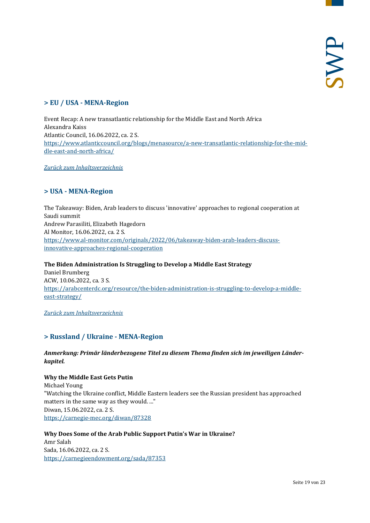# <span id="page-18-0"></span>**> EU / USA - MENA-Region**

Event Recap: A new transatlantic relationship for the Middle East and North Africa Alexandra Kaiss Atlantic Council, 16.06.2022, ca. 2 S. [https://www.atlanticcouncil.org/blogs/menasource/a-new-transatlantic-relationship-for-the-mid](https://www.atlanticcouncil.org/blogs/menasource/a-new-transatlantic-relationship-for-the-middle-east-and-north-africa/)[dle-east-and-north-africa/](https://www.atlanticcouncil.org/blogs/menasource/a-new-transatlantic-relationship-for-the-middle-east-and-north-africa/)

<span id="page-18-1"></span>*[Zurück zum Inhaltsverzeichnis](#page-0-0)*

# **> USA - MENA-Region**

The Takeaway: Biden, Arab leaders to discuss 'innovative' approaches to regional cooperation at Saudi summit Andrew Parasiliti, Elizabeth Hagedorn Al Monitor, 16.06.2022, ca. 2 S. [https://www.al-monitor.com/originals/2022/06/takeaway-biden-arab-leaders-discuss](https://www.al-monitor.com/originals/2022/06/takeaway-biden-arab-leaders-discuss-innovative-approaches-regional-cooperation)[innovative-approaches-regional-cooperation](https://www.al-monitor.com/originals/2022/06/takeaway-biden-arab-leaders-discuss-innovative-approaches-regional-cooperation)

#### **The Biden Administration Is Struggling to Develop a Middle East Strategy**

Daniel Brumberg ACW, 10.06.2022, ca. 3 S. [https://arabcenterdc.org/resource/the-biden-administration-is-struggling-to-develop-a-middle](https://arabcenterdc.org/resource/the-biden-administration-is-struggling-to-develop-a-middle-east-strategy/)[east-strategy/](https://arabcenterdc.org/resource/the-biden-administration-is-struggling-to-develop-a-middle-east-strategy/)

<span id="page-18-2"></span>*[Zurück zum Inhaltsverzeichnis](#page-0-0)*

# **> Russland / Ukraine - MENA-Region**

*Anmerkung: Primär länderbezogene Titel zu diesem Thema finden sich im jeweiligen Länderkapitel.*

#### **Why the Middle East Gets Putin**

Michael Young "Watching the Ukraine conflict, Middle Eastern leaders see the Russian president has approached matters in the same way as they would. ..." Diwan, 15.06.2022, ca. 2 S. <https://carnegie-mec.org/diwan/87328>

#### **Why Does Some of the Arab Public Support Putin's War in Ukraine?**

Amr Salah Sada, 16.06.2022, ca. 2 S. <https://carnegieendowment.org/sada/87353>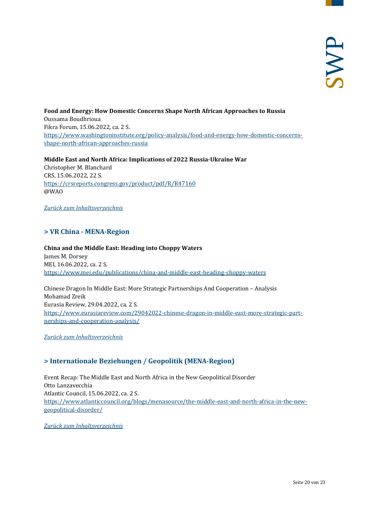**Food and Energy: How Domestic Concerns Shape North African Approaches to Russia** Oussama Boudhrioua Fikra Forum, 15.06.2022, ca. 2 S. [https://www.washingtoninstitute.org/policy-analysis/food-and-energy-how-domestic-concerns](https://www.washingtoninstitute.org/policy-analysis/food-and-energy-how-domestic-concerns-shape-north-african-approaches-russia)[shape-north-african-approaches-russia](https://www.washingtoninstitute.org/policy-analysis/food-and-energy-how-domestic-concerns-shape-north-african-approaches-russia)

**Middle East and North Africa: Implications of 2022 Russia-Ukraine War** Christopher M. Blanchard CRS, 15.06.2022, 22 S. <https://crsreports.congress.gov/product/pdf/R/R47160> @WAO

<span id="page-19-0"></span>*[Zurück zum Inhaltsverzeichnis](#page-0-0)*

#### **> VR China - MENA-Region**

#### **China and the Middle East: Heading into Choppy Waters** James M. Dorsey MEI, 16.06.2022, ca. 2 S. <https://www.mei.edu/publications/china-and-middle-east-heading-choppy-waters>

Chinese Dragon In Middle East: More Strategic Partnerships And Cooperation – Analysis Mohamad Zreik Eurasia Review, 29.04.2022, ca. 2 S. [https://www.eurasiareview.com/29042022-chinese-dragon-in-middle-east-more-strategic-part](https://www.eurasiareview.com/29042022-chinese-dragon-in-middle-east-more-strategic-partnerships-and-cooperation-analysis/)[nerships-and-cooperation-analysis/](https://www.eurasiareview.com/29042022-chinese-dragon-in-middle-east-more-strategic-partnerships-and-cooperation-analysis/)

<span id="page-19-1"></span>*[Zurück zum Inhaltsverzeichnis](#page-0-0)*

#### **> Internationale Beziehungen / Geopolitik (MENA-Region)**

Event Recap: The Middle East and North Africa in the New Geopolitical Disorder Otto Lanzavecchia Atlantic Council, 15.06.2022, ca. 2 S. [https://www.atlanticcouncil.org/blogs/menasource/the-middle-east-and-north-africa-in-the-new](https://www.atlanticcouncil.org/blogs/menasource/the-middle-east-and-north-africa-in-the-new-geopolitical-disorder/)[geopolitical-disorder/](https://www.atlanticcouncil.org/blogs/menasource/the-middle-east-and-north-africa-in-the-new-geopolitical-disorder/)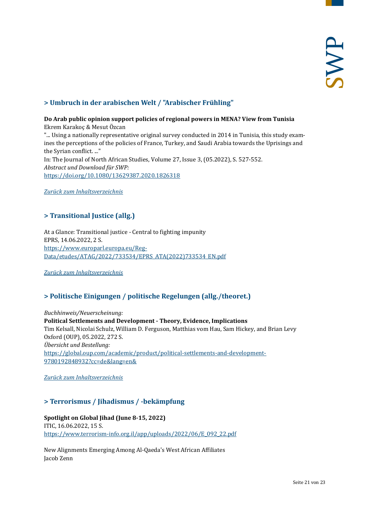# <span id="page-20-0"></span>**> Umbruch in der arabischen Welt / "Arabischer Frühling"**

#### **Do Arab public opinion support policies of regional powers in MENA? View from Tunisia** Ekrem Karakoç & Mesut Özcan

"... Using a nationally representative original survey conducted in 2014 in Tunisia, this study examines the perceptions of the policies of France, Turkey, and Saudi Arabia towards the Uprisings and the Syrian conflict. ..." In: The Journal of North African Studies, Volume 27, Issue 3, (05.2022), S. 527-552. *Abstract und Download für SWP:* <https://doi.org/10.1080/13629387.2020.1826318>

<span id="page-20-1"></span>*[Zurück zum Inhaltsverzeichnis](#page-0-0)*

# **> Transitional Justice (allg.)**

At a Glance: Transitional justice - Central to fighting impunity EPRS, 14.06.2022, 2 S. [https://www.europarl.europa.eu/Reg-](https://www.europarl.europa.eu/RegData/etudes/ATAG/2022/733534/EPRS_ATA(2022)733534_EN.pdf)[Data/etudes/ATAG/2022/733534/EPRS\\_ATA\(2022\)733534\\_EN.pdf](https://www.europarl.europa.eu/RegData/etudes/ATAG/2022/733534/EPRS_ATA(2022)733534_EN.pdf)

<span id="page-20-2"></span>*[Zurück zum Inhaltsverzeichnis](#page-0-0)*

#### **> Politische Einigungen / politische Regelungen (allg./theoret.)**

*Buchhinweis/Neuerscheinung:* **Political Settlements and Development - Theory, Evidence, Implications** Tim Kelsall, Nicolai Schulz, William D. Ferguson, Matthias vom Hau, Sam Hickey, and Brian Levy Oxford (OUP), 05.2022, 272 S. *Übersicht und Bestellung:* [https://global.oup.com/academic/product/political-settlements-and-development-](https://global.oup.com/academic/product/political-settlements-and-development-9780192848932?cc=de&lang=en&)[9780192848932?cc=de&lang=en&](https://global.oup.com/academic/product/political-settlements-and-development-9780192848932?cc=de&lang=en&)

<span id="page-20-3"></span>*[Zurück zum Inhaltsverzeichnis](#page-0-0)*

#### **> Terrorismus / Jihadismus / -bekämpfung**

#### **Spotlight on Global Jihad (June 8-15, 2022)** ITIC, 16.06.2022, 15 S. [https://www.terrorism-info.org.il/app/uploads/2022/06/E\\_092\\_22.pdf](https://www.terrorism-info.org.il/app/uploads/2022/06/E_092_22.pdf)

New Alignments Emerging Among Al-Qaeda's West African Affiliates Jacob Zenn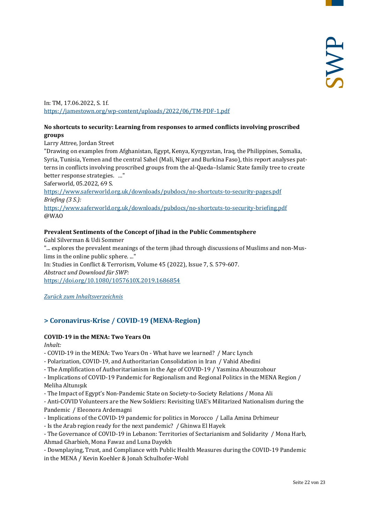In: TM, 17.06.2022, S. 1f. <https://jamestown.org/wp-content/uploads/2022/06/TM-PDF-1.pdf>

#### **No shortcuts to security: Learning from responses to armed conflicts involving proscribed groups**

Larry Attree, Jordan Street

"Drawing on examples from Afghanistan, Egypt, Kenya, Kyrgyzstan, Iraq, the Philippines, Somalia, Syria, Tunisia, Yemen and the central Sahel (Mali, Niger and Burkina Faso), this report analyses patterns in conflicts involving proscribed groups from the al-Qaeda–Islamic State family tree to create better response strategies. ..."

Saferworld, 05.2022, 69 S.

<https://www.saferworld.org.uk/downloads/pubdocs/no-shortcuts-to-security-pages.pdf> *Briefing (3 S.):* <https://www.saferworld.org.uk/downloads/pubdocs/no-shortcuts-to-security-briefing.pdf>

@WAO

#### **Prevalent Sentiments of the Concept of Jihad in the Public Commentsphere**

Gahl Silverman & Udi Sommer "... explores the prevalent meanings of the term jihad through discussions of Muslims and non-Muslims in the online public sphere. ..." In: Studies in Conflict & Terrorism, Volume 45 (2022), Issue 7, S. 579-607. *Abstract und Download für SWP:* <https://doi.org/10.1080/1057610X.2019.1686854>

<span id="page-21-0"></span>*[Zurück zum Inhaltsverzeichnis](#page-0-0)*

# **> Coronavirus-Krise / COVID-19 (MENA-Region)**

#### **COVID-19 in the MENA: Two Years On**

*Inhalt:*

- COVID-19 in the MENA: Two Years On - What have we learned? / Marc Lynch

- Polarization, COVID-19, and Authoritarian Consolidation in Iran / Vahid Abedini

- The Amplification of Authoritarianism in the Age of COVID-19 / Yasmina Abouzzohour

- Implications of COVID-19 Pandemic for Regionalism and Regional Politics in the MENA Region / Meliha Altunışık

- The Impact of Egypt's Non-Pandemic State on Society-to-Society Relations / Mona Ali

- Anti-COVID Volunteers are the New Soldiers: Revisiting UAE's Militarized Nationalism during the Pandemic / Eleonora Ardemagni

- Implications of the COVID-19 pandemic for politics in Morocco / Lalla Amina Drhimeur

- Is the Arab region ready for the next pandemic? / Ghinwa El Hayek

- The Governance of COVID-19 in Lebanon: Territories of Sectarianism and Solidarity / Mona Harb, Ahmad Gharbieh, Mona Fawaz and Luna Dayekh

- Downplaying, Trust, and Compliance with Public Health Measures during the COVID-19 Pandemic in the MENA / Kevin Koehler & Jonah Schulhofer-Wohl